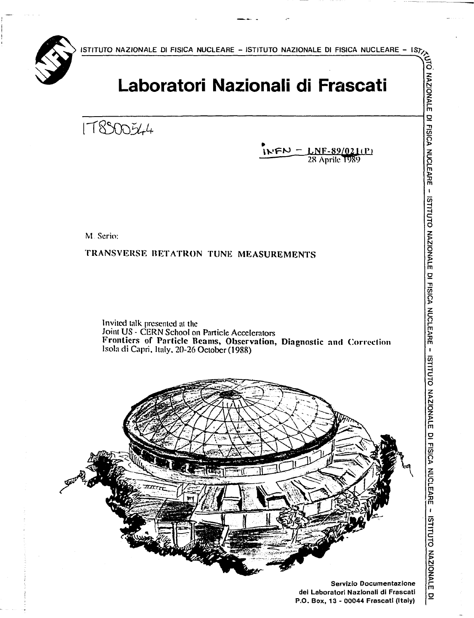**ISTITUTO NAZIONALE DI FISICA NUCLEARE - ISTITUTO NAZIONALE DI FISICA NUCLEARE - ISf,** 



# **Laboratori Nazionali di Frascati**

**o l l d l d l d l d l d l d l d l d l d l d**</del>

 $IVPN = LNF-89/02I(P)$ **— • 2R Aprile T989** 

**z >** 

**ZIONALE 1** 

M. Serio:

TRANSVERSE BETATRON TUNK MEASUREMENTS

Invited talk presented at the Joint US - CERN School on Particle Accelerators Frontiers of Particle Reams, Observation, Diagnostic and Correction Isola di Capri. Italy. 20-26 October (1988)



**H H C** 

**NONOIZVN** 

**m o**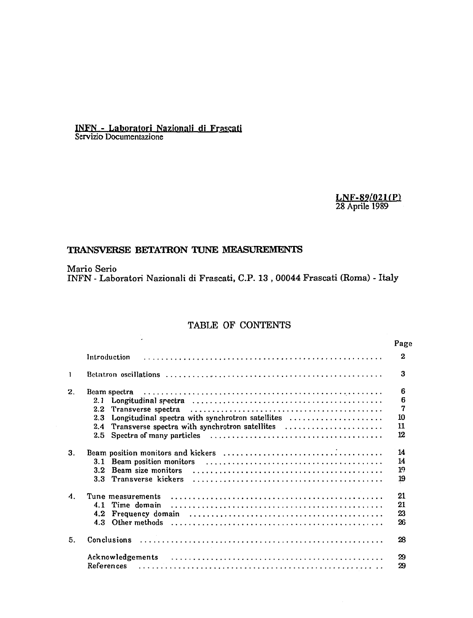# INFN - Laboratori Nazionali di Frascati Servizio Documentazione

## LNF-89/02HP) 28 Aprile 1989

# **TRANSVERSE BETATRON TUNE MEASUREMENTS**

Mario Serio INFN - Laboratori Nazionali di Frascati, C.P. 13 , 00044 Frascati (Roma) - Italy

# TABLE OF CONTENTS

|                    |                                                         | Page           |
|--------------------|---------------------------------------------------------|----------------|
|                    | Introduction                                            | $\mathbf{2}$   |
| 1                  |                                                         | 3              |
| 2.                 | Beam spectra                                            | 6              |
|                    | 2.1                                                     | 6              |
|                    | 2.2<br>Transverse spectra                               | 7              |
|                    | Longitudinal spectra with synchrotron satellites<br>2.3 | 10             |
|                    | Transverse spectra with synchrotron satellites<br>2.4   | 11             |
|                    | $2.5^{\circ}$                                           | 12             |
| 3.                 |                                                         | 14             |
|                    | Beam position monitors<br>3.1                           | 14             |
|                    | Beam size monitors<br>3.2 <sub>1</sub>                  | 1 <sup>o</sup> |
|                    | Transverse kickers<br>3.3 <sub>1</sub>                  | 19             |
| $\boldsymbol{A}$ . | Tune measurements                                       | 21             |
|                    | Time domain<br>4.1                                      | 21             |
|                    | Frequency domain<br>4.2 <sub>1</sub>                    | 23             |
|                    | 4.3 Other methods                                       | 26             |
| 5.                 | Conclusions                                             | 28             |
|                    |                                                         | 29             |
|                    | References                                              | 29             |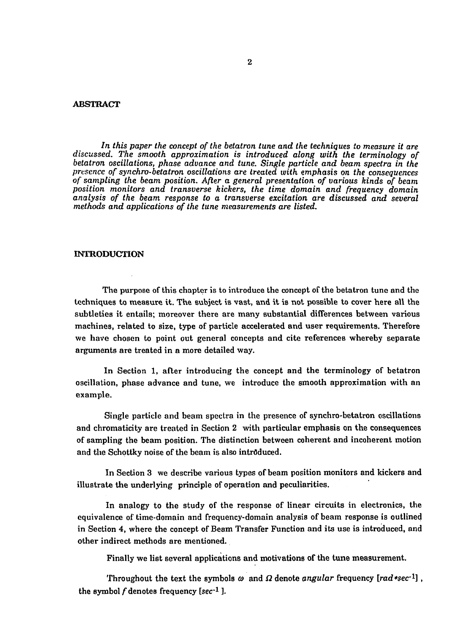#### ABSTRACT

In this paper the concept of the betatron tune and the techniques to measure it are *discussed. The smooth approximation is introduced along with the terminology of betatron oscillations, phase advance and tune. Single particle and beam spectra in the presence of synchro-betatron oscillations are treated with emphasis on the consequences of sampling the beam position. After a general presentation of various kinds of beam position monitors and transverse kickers, the time domain and frequency domain analysis of the beam response to a transverse excitation are discussed and several methods and applications of the tune measurements are listed.* 

## INTRODUCTION

The purpose of this chapter is to introduce the concept of the betatron tune and the techniques to measure it. The subject is vast, and it is not possible to cover here all the subtleties it entails; moreover there are many substantial differences between various machines, related to size, type of particle accelerated and user requirements. Therefore we have chosen to point out general concepts and cite references whereby separate arguments are treated in a more detailed way.

In Section 1, after introducing the concept and the terminology of betatron oscillation, phase advance and tune, we introduce the smooth approximation with an example.

Single particle and beam spectra in the presence of synchro-betatron oscillations and chromaticity are treated in Section 2 with particular emphasis on the consequences of sampling the beam position. The distinction between coherent and incoherent motion and the Schottky noise of the beam is also introduced.

In Section 3 we describe various types of beam position monitors and kickers and illustrate the underlying principle of operation and peculiarities.

In analogy to the study of the response of linear circuits in electronics, the equivalence of time-domain and frequency-domain analysis of beam response is outlined in Section 4, where the concept of Beam Transfer Function and its use is introduced, and other indirect methods are mentioned.

Finally we list several applications and motivations of the tune measurement.

Throughout the text the symbols  $\omega$  and  $\Omega$  denote *angular* frequency [rad\*sec<sup>-1</sup>], the symbol  $f$  denotes frequency [ $sec^{-1}$  ].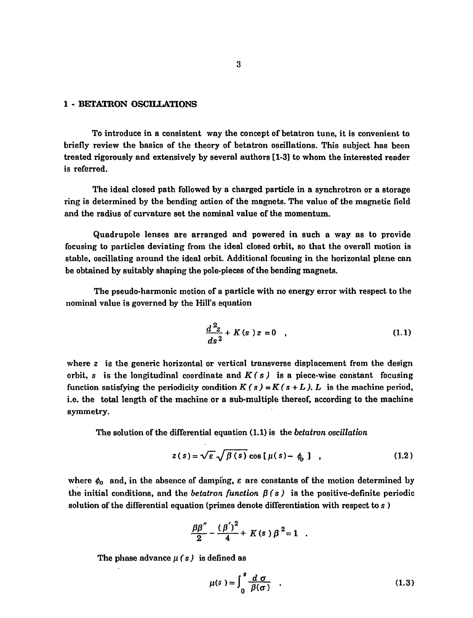#### 1 - BETATRON OSCILLATIONS

To introduce in a consistent way the concept of betatron tune, it is convenient to briefly review the basics of the theory of betatron oscillations. This subject has been treated rigorously and extensively by several authors [1-3] to whom the interested reader is referred.

The ideal closed path followed by a charged particle in a synchrotron or a storage ring is determined by the bending action of the magnets. The value of the magnetic field and the radius of curvature set the nominal value of the momentum.

Quadrupole lenses are arranged and powered in such a way as to provide focusing to particles deviating from the ideal closed orbit, so that the overall motion is stable, oscillating around the ideal orbit. Additional focusing in the horizontal plane can be obtained by suitably shaping the pole-pieces of the bending magnets.

The pseudo-harmonic motion of a particle with no energy error with respect to the nominal value is governed by the Hill's equation

$$
\frac{d^2z}{ds^2} + K(s) z = 0 \quad , \tag{1.1}
$$

where *z* is the generic horizontal or vertical transverse displacement from the design orbit, s is the longitudinal coordinate and  $K(s)$  is a piece-wise constant focusing function satisfying the periodicity condition  $K(s) = K(s + L)$ . L is the machine period, i.e. the total length of the machine or a sub-multiple thereof, according to the machine symmetry.

The solution of the differential equation (1.1) is the *betatron oscillation* 

$$
z(s) = \sqrt{\varepsilon} \sqrt{\beta(s)} \cos[\mu(s) - \phi_0] , \qquad (1.2)
$$

where  $\phi_0$  and, in the absence of damping,  $\varepsilon$  are constants of the motion determined by the initial conditions, and the *betatron function*  $\beta$  (s) is the positive-definite periodic solution of the differential equation (primes denote differentiation with respect to s )

$$
\frac{\beta\beta''}{2}-\frac{(\beta')^2}{4}+K(s)\beta^2=1
$$

The phase advance  $\mu$  (s) is defined as

$$
\mu(s) = \int_0^s \frac{d\sigma}{\beta(\sigma)} \quad . \tag{1.3}
$$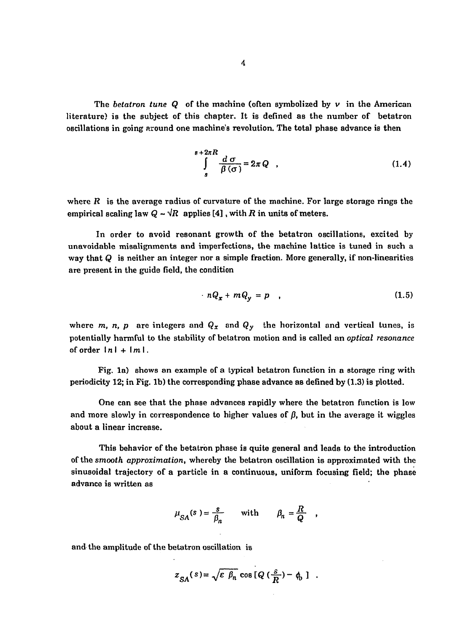The *betatron tune Q* of the machine (often symbolized by v in the American literature) is the subject of this chapter. It is defined as the number of betatron oscillations in going around one machine's revolution. The total phase advance is then

$$
\int_{s}^{s+2\pi R} \frac{d\,\sigma}{\beta(\sigma)} = 2\pi Q \quad , \tag{1.4}
$$

where  $R$  is the average radius of curvature of the machine. For large storage rings the empirical scaling law  $Q \sim \sqrt{R}$  applies [4], with R in units of meters.

In order to avoid resonant growth of the betatron oscillations, excited by unavoidable misalignments and imperfections, the machine lattice is tuned in such a way that  $Q$  is neither an integer nor a simple fraction. More generally, if non-linearities are present in the guide field, the condition

$$
nQ_x + mQ_y = p \qquad (1.5)
$$

where *m, n, p* are integers and  $Q_x$  and  $Q_y$  the horizontal and vertical tunes, is potentially harmful to the stability of betatron motion and is called an *optical resonance*  of order  $\lfloor n \rfloor + \lfloor m \rfloor$ .

Fig. la) shows an example of a typical betatron function in a storage ring with periodicity 12; in Fig. lb) the corresponding phase advance as defined by (1.3) is plotted.

One can see that the phase advances rapidly where the betatron function is low and more slowly in correspondence to higher values of  $\beta$ , but in the average it wiggles about a linear increase.

This behavior of the betatron phase is quite general and leads to the introduction of the *smooth approximation,* whereby the betatron oscillation is approximated with the sinusoidal trajectory of a particle in a continuous, uniform focusing field; the phase advance is written as

$$
\mu_{SA}(s) = \frac{s}{\beta_n} \quad \text{with} \quad \beta_n = \frac{R}{Q}
$$

and the amplitude of the betatron oscillation is

$$
z_{SA}(s) = \sqrt{\varepsilon \, \beta_n} \, \cos \left[ Q \left( \frac{s}{R} \right) - \phi_0 \right] \ .
$$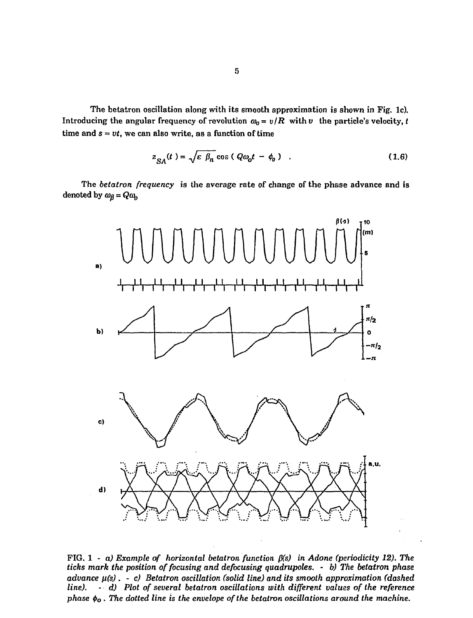The betatron oscillation along with its smooth approximation is shown in Fig. lc). Introducing the angular frequency of revolution  $\omega_0 = v/R$  with v the particle's velocity, *t* time and  $s = vt$ , we can also write, as a function of time

$$
z_{SA}(t) = \sqrt{\varepsilon \beta_n} \cos (Q\omega_0 t - \phi_0) \quad . \tag{1.6}
$$

The *betatron frequency* is the average rate of change of the phase advance and is denoted by  $\omega_{\beta} = Q \omega_{p}$ 



FIG. 1 - *a) Example of horizontal betatron function p(s) in Adone (periodicity 12). The ticks mark the position of focusing and de focusing quadrupoles.* - *b) The betatron phase advance n(s) . - c) Betatron oscillation (solid line) and its smooth approximation (dashed line). - d) Plot of several betatron oscillations with different values of the reference phase*  $\phi$ <sup> $0$ </sup>. The dotted line is the envelope of the betatron oscillations around the machine.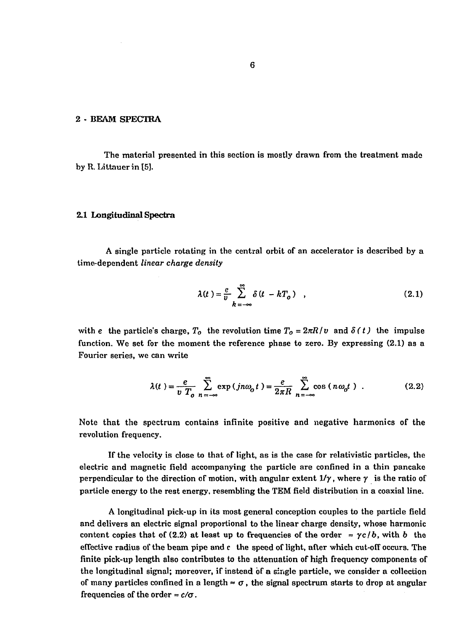## 2 - BEAM SPECTRA

The material presented in this section is mostly drawn from the treatment made by R. Littauerin [5].

#### 2.1 Longitudinal Spectra

A single particle rotating in the central orbit of an accelerator is described by a time-dependent *linear charge density* 

$$
\lambda(t) = \frac{e}{v} \sum_{k=-\infty}^{\infty} \delta(t - kT_o) , \qquad (2.1)
$$

with e the particle's charge,  $T_o$  the revolution time  $T_o = 2\pi R/v$  and  $\delta(t)$  the impulse function. We set for the moment the reference phase to zero. By expressing (2.1) as a Fourier series, we can write

$$
\lambda(t) = \frac{e}{v} \sum_{n = -\infty}^{\infty} \exp(jn\omega_0 t) = \frac{e}{2\pi R} \sum_{n = -\infty}^{\infty} \cos(n\omega_0 t) .
$$
 (2.2)

Note that the spectrum contains infinite positive and negative harmonics of the revolution frequency.

If the velocity is close to that of light, as is the case for relativistic particles, the electric and magnetic field accompanying the particle are confined in a thin pancake perpendicular to the direction of motion, with angular extent  $1/\gamma$ , where  $\gamma$  is the ratio of particle energy to the rest energy, resembling the TEM field distribution in a coaxial line.

A longitudinal pick-up in its most general conception couples to the particle field and delivers an electric signal proportional to the linear charge density, whose harmonic content copies that of (2.2) at least up to frequencies of the order  $\approx \gamma c/b$ , with b the effective radius of the beam pipe and c the speed of light, after which cut-off occurs. The finite pick-up length also contributes to the attenuation of high frequency components of the longitudinal signal; moreover, if instead òf a single particle, we consider a collection of many particles confined in a length  $\approx \sigma$ , the signal spectrum starts to drop at angular frequencies of the order  $\approx c/\sigma$ .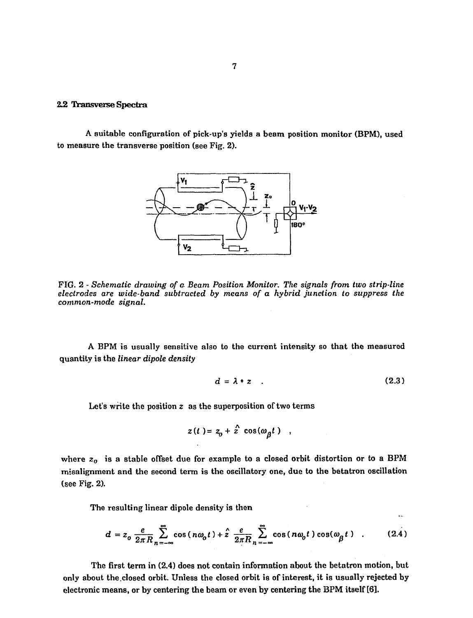## *22* Transverse Spectra

A suitable configuration of pick-up's yields a beam position monitor (BPM), used to measure the transverse position (see Fig. 2).



FIG. 2 - *Schematic drawing of a. Beam Position Monitor, The signals from two strip-line electrodes are wide-band subtracted by means of a hybrid junction to suppress the common-mode signal.* 

A BPM is usually sensitive also to the current intensity so that the measured quantity is the *linear dipole density* 

$$
d = \lambda * z \quad . \tag{2.3}
$$

بدو

Let's write the position  $z$  as the superposition of two terms

$$
z(t) = z_0 + \hat{z} \cos(\omega_\beta t) ,
$$

where  $z_0$  is a stable offset due for example to a closed orbit distortion or to a BPM misalignment and the second term is the oscillatory one, due to the betatron oscillation (see Fig. 2).

The resulting linear dipole density is then

$$
d = z_0 \frac{e}{2\pi R} \sum_{n=-\infty}^{\infty} \cos(n\omega_0 t) + \hat{z} \frac{e}{2\pi R} \sum_{n=-\infty}^{\infty} \cos(n\omega_0 t) \cos(\omega_\beta t) \quad . \tag{2.4}
$$

The first term in (2.4) does not contain information about the betatron motion, but only about the.closed orbit. Unless the closed orbit is of interest, it is usually rejected by electronic means, or by centering the beam or even by centering the BPM itself [6].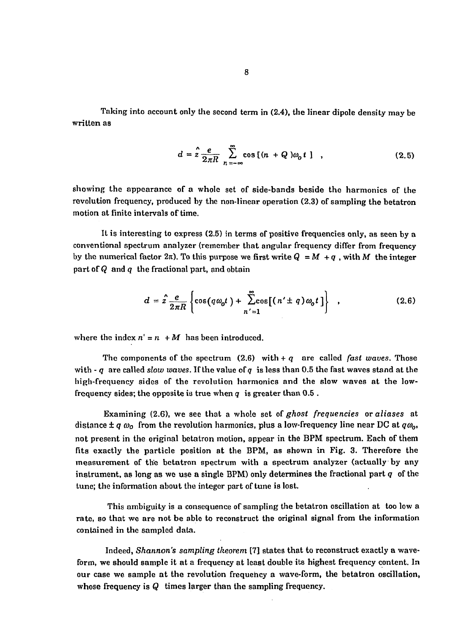Taking into account only the second term in (2.4), the linear dipole density may be written as

$$
d = 2 \frac{e}{2\pi R} \sum_{n=-\infty}^{\infty} \cos\left[(n+Q)\omega_0 t\right] , \qquad (2.5)
$$

showing the appearance of a whole set of side-bands beside the harmonics of the revolution frequency, produced by the non-linear operation (2.3) of sampling the betatron motion at finite intervals of time.

It is interesting to express (2.5) in terms of positive frequencies only, as seen by a conventional spectrum analyzer (remember that angular frequency differ from frequency by the numerical factor  $2\pi$ ). To this purpose we first write  $Q = M + q$ , with M the integer part of *Q* and *q* the fractional part, and obtain

$$
d = 2 \frac{e}{2\pi R} \left\{ \cos(q\omega_0 t) + \sum_{n'=1}^{\infty} \cos[(n' \pm q)\omega_0 t] \right\} , \qquad (2.6)
$$

where the index  $n' = n + M$  has been introduced.

The components of the spectrum  $(2.6)$  with  $+q$  are called *fast waves*. Those with  $-q$  are called *slow waves*. If the value of q is less than 0.5 the fast waves stand at the high-frequency sides of the revolution harmonics and the slow waves at the lowfrequency sides; the opposite is true when  $q$  is greater than  $0.5$ .

Examining (2.6), we see that a whole set of *ghost frequencies* or *aliases* at distance  $\pm q \omega_0$  from the revolution harmonics, plus a low-frequency line near DC at  $q\omega_0$ , not present in the original betatron motion, appear in the BPM spectrum. Each of them fits exactly the particle position at the BPM, as shown in Fig. 3. Therefore the measurement of the betatron spectrum with a spectrum analyzer (actually by any instrument, as long as we use a single BPM) only determines the fractional part *q* of the tune; the information about the integer part of tune is lost.

This ambiguity is a consequence of sampling the betatron oscillation at too low a rate, so that we are not be able to reconstruct the original signal from the information contained in the sampled data.

Indeed, *Shannon's sampling theorem* [7] states that to reconstruct exactly a waveform, we should sample it at a frequency at least double its highest frequency content. In our case we sample at the revolution frequency a wave-form, the betatron oscillation, whose frequency is *Q* times larger than the sampling frequency.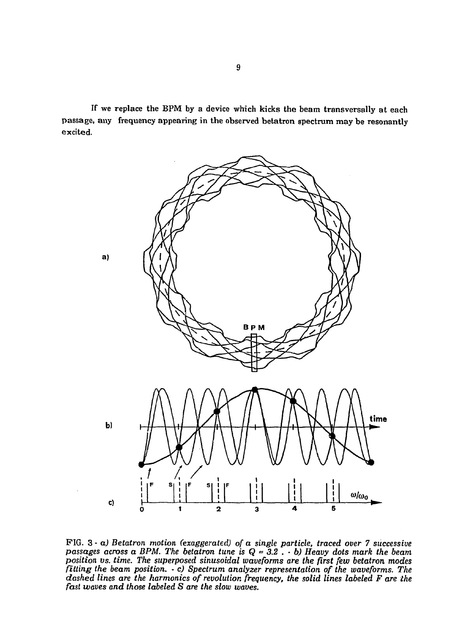If we replace the BPM by a device which kicks the beam transversally at each passage, any frequency appearing in the observed betatron spectrum may be resonantly excited.



PIG. 3 - *a) Betatron motion (exaggerated) of a single particle, traced over 7 successive passages across a BPM. The betatron tune is Q* » *3.2 .* - *b) Heavy dots mark the beam position vs. time. The superposed sinusoidal waveforms are the first few betatron modes fitting the beam position. • c) Spectrum analyzer representation of the waveforms. The dashed lines are the harmonics of revolution frequency, the solid lines labeled F are the fast waves and those labeled S are the slow waves.*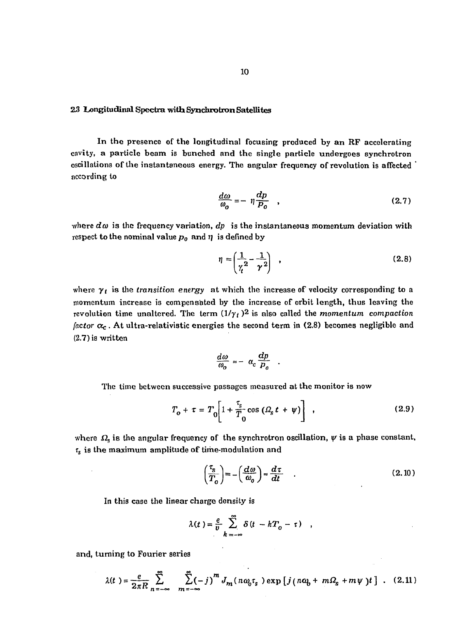#### 23 Longitudinal Spectra-with Synchrotron Satellites

In the presence of the longitudinal focusing produced by an RF accelerating cavity, a particle beam is bunched and the single particle undergoes synchrotron oscillations of the instantaneous energy. The angular frequency of revolution is affected according to

$$
\frac{d\omega}{\omega_o} = -\eta \frac{dp}{P_o} \quad , \tag{2.7}
$$

where  $d\omega$  is the frequency variation,  $dp$  is the instantaneous momentum deviation with respect to the nominal value  $p_0$  and  $\eta$  is defined by

$$
\eta = \left(\frac{1}{\gamma^2} - \frac{1}{\gamma^2}\right) \quad , \tag{2.8}
$$

where  $\gamma_t$  is the *transition energy* at which the increase of velocity corresponding to a momentum increase is compensated by the increase of orbit length, thus leaving the revolution time unaltered. The term  $(1/\gamma_t)^2$  is also called the *momentum compaction factor*  $\alpha_c$ . At ultra-relativistic energies the second term in (2.8) becomes negligible and (2.7) is written

$$
\frac{d\omega}{\omega_o} = -\alpha_c \frac{dp}{p_o} .
$$

The time between successive passages measured at the monitor is now

$$
T_o + \tau = T_0 \left[ 1 + \frac{\tau_s}{T_0} \cos \left( \Omega_s t + \psi \right) \right] \tag{2.9}
$$

where  $\Omega$ <sub>s</sub> is the angular frequency of the synchrotron oscillation,  $\psi$  is a phase constant.  $\tau_s$  is the maximum amplitude of time-modulation and

$$
\left(\frac{\tau_s}{T_o}\right) = -\left(\frac{d\omega}{\omega_o}\right) \approx \frac{d\tau}{dt} \quad . \tag{2.10}
$$

In this case the linear charge density is

$$
\lambda(t) = \frac{e}{v} \sum_{k=-\infty}^{\infty} \delta(t - kT_0 - \tau) ,
$$

and, turning to Fourier series

$$
\lambda(t) = \frac{e}{2\pi R} \sum_{n=-\infty}^{\infty} \sum_{m=-\infty}^{\infty} (-j)^m J_m(n\omega_0 \tau_s) \exp \left[ j(n\omega_0 + m\Omega_s + m\psi) t \right] . \quad (2.11)
$$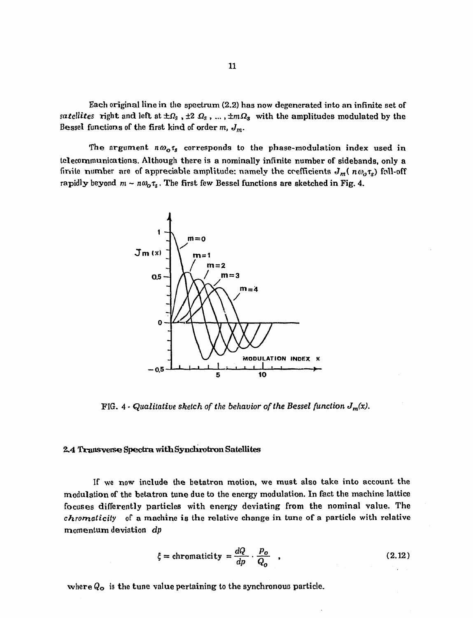Each original line in the spectrum (2.2) has now degenerated into an infinite set of  $satellites$  right and left at  $\pm\varOmega_{\rm s}$  ,  $\pm2$   $\varOmega_{\rm s}$  , ... ,  $\pm m\varOmega_{\rm s}$  with the amplitudes modulated by the Bessel functions of the first kind of order *m, Jm.* 

The argument  $n\omega_o\tau_s$  corresponds to the phase-modulation index used in telecommunications. Although there is a nominally infinite number of sidebands, only a finite number are of appreciable amplitude: namely the coefficients  $J_m$  ( $n\omega_j\tau_s$ ) foll-off rapidly beyond  $m \sim n\omega_o\tau_s$ . The first few Bessel functions are sketched in Fig. 4.



FIG. 4 - Qualitative sketch of the behavior of the Bessel function  $J_m(x)$ .

#### 2.4 Transverse Spectra with Synchrotron Satellites

If we now include the betatron motion, we must also take into account the modulation of the betatron tune due to the energy modulation. In fact the machine lattice focuses differently particles with energy deviating from the nominal value. The *chrornaticity* of a machine is the relative change in tune of a particle with relative momentum deviation *dp* 

$$
\xi = \text{chromaticity} = \frac{dQ}{dp} \cdot \frac{p_o}{Q_o} \quad , \tag{2.12}
$$

where *Qo* is the tune value pertaining to the synchronous particle.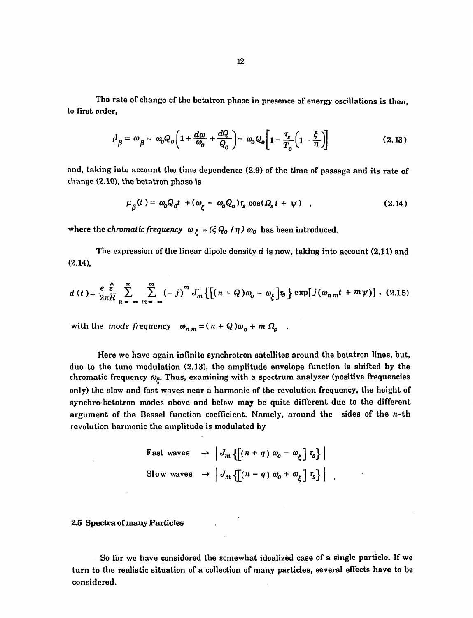The rate of change of the betatron phase in presence of energy oscillations is then, to first order,

$$
\dot{\mu}_{\beta} = \omega_{\beta} = \omega_{0} Q_{o} \left( 1 + \frac{d\omega}{\omega_{o}} + \frac{dQ}{Q_{o}} \right) = \omega_{o} Q_{o} \left[ 1 - \frac{\tau_{s}}{T_{o}} \left( 1 - \frac{\xi}{\eta} \right) \right]
$$
(2.13)

and, taking into account the time dependence (2.9) of the time of passage and its rate of change (2.10), the betatron phase is

$$
\mu_{\beta}(t) = \omega_o Q_o t + (\omega_{\xi} - \omega_o Q_o) \tau_s \cos(\Omega_s t + \psi) \quad , \tag{2.14}
$$

where the *chromatic frequency*  $\omega_{\xi} = (\xi Q_0 / \eta) \omega_0$  has been introduced.

The expression of the linear dipole density *d* is now, taking into account (2.11) and (2.14),

$$
d(t) = \frac{e \hat{z}}{2\pi R} \sum_{n=-\infty}^{\infty} \sum_{m=-\infty}^{\infty} (-j)^m J_m \left\{ \left[ (n+Q)\omega_0 - \omega_{\xi} \right] \tau_s \right\} \exp\left[ j(\omega_{nm}t + m\psi) \right], (2.15)
$$

with the mode frequency  $\omega_{n,m} = (n+Q)\omega_o + m \Omega_s$ .

Here we have again infinite synchrotron satellites around the betatron lines, but, due to the tunc modulation (2.13), the amplitude envelope function is shifted by the chromatic frequency  $\omega_{\xi}$ . Thus, examining with a spectrum analyzer (positive frequencies only) the slow and fast waves near a harmonic of the revolution frequency, the height of synchro-betatron modes above and below may be quite different due to the different argument of the Bessel function coefficient. Namely, around the sides of the  $n$ -th revolution harmonic the amplitude is modulated by

Fast waves

\n
$$
\rightarrow \left| J_m\left\{ \left[ (n+q) \, \omega_0 - \omega_{\xi} \right] \tau_s \right\} \right|
$$
\nSlow waves

\n
$$
\rightarrow \left| J_m\left\{ \left[ (n-q) \, \omega_0 + \omega_{\xi} \right] \tau_s \right\} \right|
$$

## 2.5 Spectra of many Particles

So far we have considered the somewhat idealized case of a single particle. If we turn to the realistic situation of a collection of many particles, several effects have to be considered.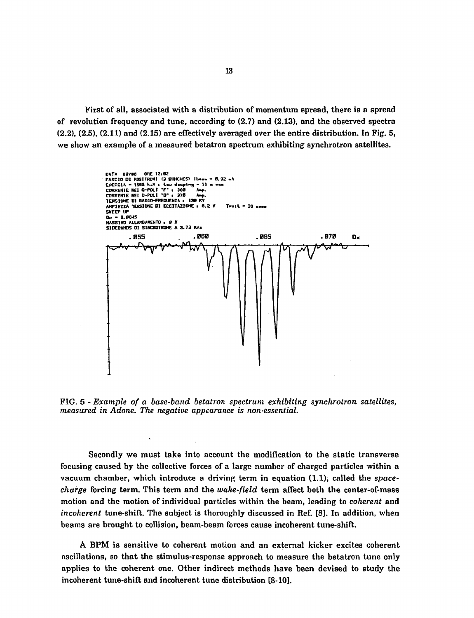First of all, associated with a distribution of momentum spread, there is a spread of revolution frequency and tune, according to (2.7) and (2.13), and the observed spectra (2.2), (2.5), (2.11) and (2.15) are effectively averaged over the entire distribution. In Fig. 5, we show an example of a measured betatron spectrum exhibiting synchrotron satellites.



FIG. 5 - *Example of a base-band betatron spectrum exhibiting synchrotron satellites, measured in Adone. The negative appearance is non-essential.* 

Secondly we must take into account the modification to the static transverse focusing caused by the collective forces of a large number of charged particles within a vacuum chamber, which introduce a driving term in equation (1.1), called the *spacecharge* forcing term. This term and the *wake-field* term affect both the center-of-mass motion and the motion of individual particles within the beam, leading to *coherent* and *incoherent* tune-shift. The subject is thoroughly discussed in Ref. [8]. In addition, when beams are brought to collision, beam-beam forces cause incoherent tune-shift.

A BPM is sensitive to coherent motion and an external kicker excites coherent oscillations, so that the stimulus-response approach to measure the betatron tune only applies to the coherent one. Other indirect methods have been devised to study the incoherent tune-shift and incoherent tune distribution [8-10].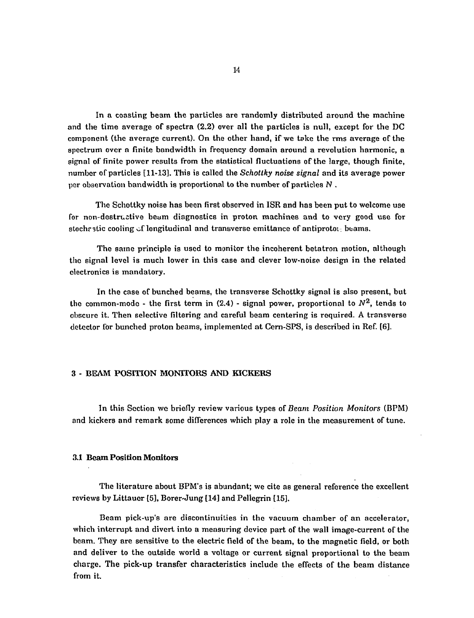In a coasting beam the particles are randomly distributed around the machine and the time average of spectra (2.2) over all the particles is null, except for the DC component (the average current). On the other hand, if we take the rms average of the spectrum over a finite bandwidth in frequency domain around a revolution harmonic, a signal of finite power results from the statistical fluctuations of the large, though finite, number of particles [11-13]. This is called the *Schottky noise signal* and its average power per observation bandwidth is proportional to the number of particles *N* .

The Schottky noise has been first observed in ISR and has been put to welcome use for non-destructive beam diagnostics in proton machines and to very good use for stoche stic cooling of longitudinal and transverse emittance of antiprotoi: beams.

The same principle is used to monitor the incoherent betatron motion, although the signal level is much lower in this case and clever low-noise design in the related electronics is mandatory.

In the case of bunched beams, the transverse Schottky signal is also present, but the common-mode - the first term in (2.4) - signal power, proportional to  $N^2$ , tends to obscure it. Then selective filtering and careful beam centering is required. A transverse detector for bunched proton beams, implemented at Cern-SPS, is described in Ref. [6].

## 3 - **BEAM POSITION MONITORS AND KICKERS**

In this Section we briefly review various types of *Beam Position Monitors* (BPM) and kickers and remark some differences which play a role in the measurement of tune.

#### 3.1 Beam Position Monitors

The literature about BPM's is abundant; we cite as general reference the excellent reviews by Littauer [5], Borer-Jung [14] and Pellegrin [15].

Beam pick-up's are discontinuities in the vacuum chamber of an accelerator, which interrupt and divert into a measuring device part of the wall image-current of the beam. They are sensitive to the electric field of the beam, to the magnetic field, or both and deliver to the outside world a voltage or current signal proportional to the beam charge. The pick-up transfer characteristics include the effects of the beam distance from it.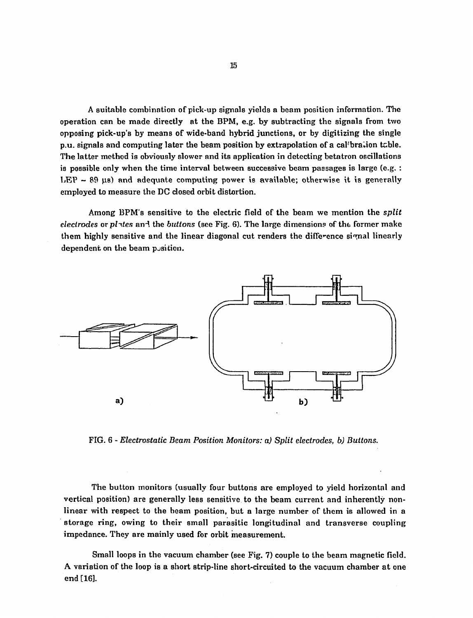A suitable combination of pick-up signals yields a beam position information. The operation can be made directly at the BPM, e.g. by subtracting the signals from two opposing pick-up's by means of wide-band hybrid junctions, or by digitizing the single p.u. signals and computing later the beam position by extrapolation of a calibration table. The latter method is obviously slower and its application in detecting betatron oscillations is possible only when the time interval between successive beam passages is large (e.g. : LEP  $\sim$  89  $\mu$ s) and adequate computing power is available; otherwise it is generally employed to measure the DC closed orbit distortion.

Among BPM's sensitive to the electric field of the beam we mention the *split electrodes* or *plites* an-l the *buttons* (see Fig. 6). The large dimensions of the former make them highly sensitive and the linear diagonal cut renders the difference si^mal linearly dependent on the beam position.



FIG. 6 - *Electrostatic Beam Position Monitors: a) Split electrodes, b) Buttons.* 

The button monitors (usually four buttons are employed to yield horizontal and vertical position) are generally less sensitive to the beam current and inherently nonlinear with respect to the beam position, but a large number of them is allowed in a storage ring, owing to their small parasitic longitudinal and transverse coupling impedance. They are mainly used for orbit measurement.

Small loops in the vacuum chamber (see Fig. 7) couple to the beam magnetic field. A variation of the loop is a short strip-line short-circuited to the vacuum chamber at one end [16].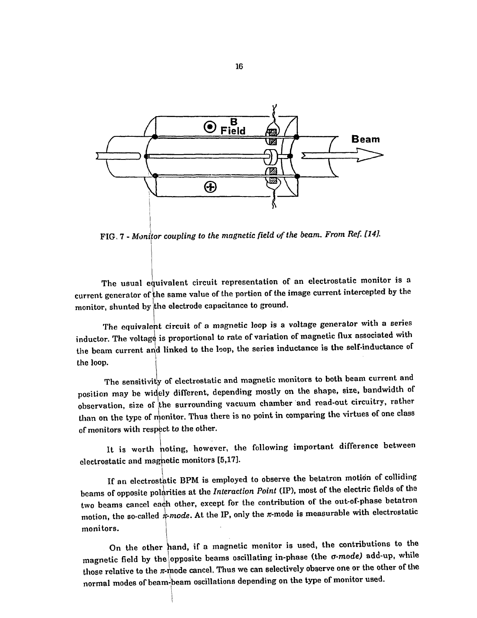

FIG. 7 - *Monitor coupling to the magnetic field of the beam. From Ref. [14J.* 

The usual equivalent circuit representation of an electrostatic monitor is a current generator of the same value of the portion of the image current intercepted by the monitor, shunted by the electrode capacitance to ground.

The equivalent circuit of a magnetic loop is a voltage generator with a series inductor. The voltage is proportional to rate of variation of magnetic flux associated with the beam current arid linked to the loop, the series inductance is the self-inductance of the loop.

The sensitivity of electrostatic and magnetic monitors to both beam current and position may be widely different, depending mostly on the shape, size, bandwidth of observation, size of the surrounding vacuum chamber and read-out circuitry, rather than on the type of monitor. Thus there is no point in comparing the virtues of one class of monitors with respect to the other.

It is worth noting, however, the following important difference between electrostatic and magnetic monitors [5,17].

If an electrostatic BPM is employed to observe the betatron motion of colliding beams of opposite polarities at the *Interaction Point* (IP), most of the electric fields of the two beams cancel each other, except for the contribution of the out-of-phase betatron motion, the so-called  $\pi$ -mode. At the IP, only the  $\pi$ -mode is measurable with electrostatic monitors.

On the other hand, if a magnetic monitor is used, the contributions to the magnetic field by the (opposite beams oscillating in-phase (the *a-mode)* add-up, while those relative to the  $\pi$ -mode cancel. Thus we can selectively observe one or the other of the normal modes of beam-beam oscillations depending on the type of monitor used.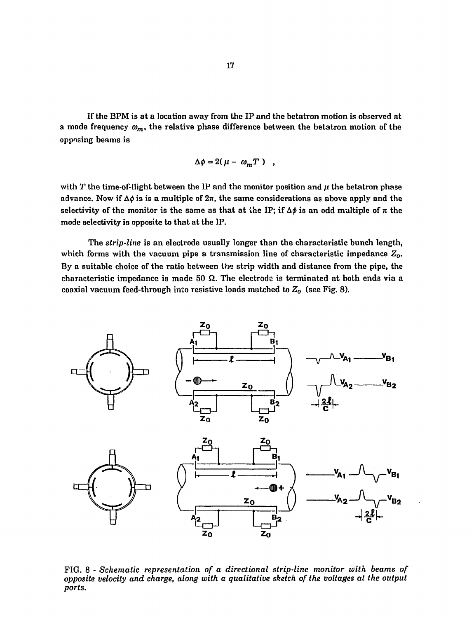If the BPM is at a location away from the IP and the betatron motion is observed at a mode frequency  $\omega_m$ , the relative phase difference between the betatron motion of the opposing beams is

$$
\Delta \phi = 2(\mu - \omega_m T) ,
$$

with  $T$  the time-of-flight between the IP and the monitor position and  $\mu$  the betatron phase advance. Now if  $\Delta\phi$  is is a multiple of  $2\pi$ , the same considerations as above apply and the selectivity of the monitor is the same as that at the IP; if  $\Delta\phi$  is an odd multiple of  $\pi$  the mode selectivity is opposite to that at the IP.

The *strip-line* is an electrode usually longer than the characteristic bunch length, which forms with the vacuum pipe a transmission line of characteristic impedance *Z0.*  By a suitable choice of the ratio between the strip width and distance from the pipe, the characteristic impedance is made 50  $\Omega$ . The electrode is terminated at both ends via a coaxial vacuum feed-through into resistive loads matched to *Z0* (see Fig. 8).



FIG. 8 - *Schematic representation of a directional strip-line monitor with beams of opposite velocity and charge, along with a qualitative sketch of the voltages at the output ports.*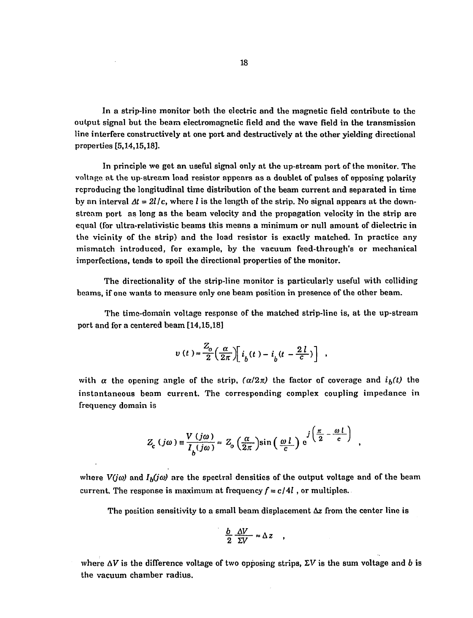In a strip-line monitor both the electric and the magnetic field contribute to the output signal but the beam electromagnetic field and the wave field in the transmission line interfere constructively at one port and destructively at the other yielding directional properties [5,14,15,18].

In principle we get an useful signal only at the up-stream port of the monitor. The voltage at the up-stream load resistor appears as a doublet of pulses of opposing polarity reproducing the longitudinal time distribution of the beam current and separated in time by an interval  $\Delta t = 2l/c$ , where *l* is the length of the strip. No signal appears at the downstream port as long as the beam velocity and the propagation velocity in the strip are equal (for ultra-relativistic beams this means a minimum or null amount of dielectric in the vicinity of the strip) and the load resistor is exactly matched. In practice any mismatch introduced, for example, by the vacuum feed-through's or mechanical imperfections, tends to spoil the directional properties of the monitor.

The directionality of the strip-line monitor is particularly useful with colliding beams, if one wants to measure only one beam position in presence of the other beam.

The time-domain voltage response of the matched strip-line is, at the up-stream port and for a centered beam [14,15,18]

$$
v(t) = \frac{Z_o}{2} \left( \frac{\alpha}{2\pi} \right) \left[ i_b(t) - i_b(t - \frac{2l}{c}) \right] ,
$$

with  $\alpha$  the opening angle of the strip,  $(\alpha/2\pi)$  the factor of coverage and  $i_b(t)$  the instantaneous beam current. The corresponding complex coupling impedance in frequency domain is

$$
Z_{c}(j\omega) \equiv \frac{V(j\omega)}{I_{b}(j\omega)} \approx Z_{o}\left(\frac{\alpha}{2\pi}\right) \sin\left(\frac{\omega l}{c}\right) e^{j\left(\frac{\pi}{2} - \frac{\omega l}{c}\right)}
$$

where  $V(j\omega)$  and  $I_b(j\omega)$  are the spectral densities of the output voltage and of the beam current. The response is maximum at frequency  $f = c/4l$ , or multiples.

The position sensitivity to a small beam displacement  $\Delta z$  from the center line is

 $\bullet$ 

$$
\frac{b}{2} \frac{\Delta V}{\Sigma V} \approx \Delta z
$$

where  $\Delta V$  is the difference voltage of two opposing strips,  $\Sigma V$  is the sum voltage and b is the vacuum chamber radius.

 $\bar{\lambda}$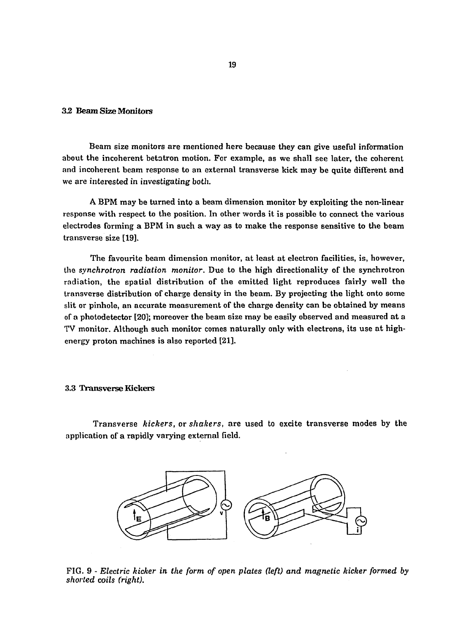## *32* Beam Size Monitors

Beam size monitors are mentioned here because they can give useful information about the incoherent betatron motion. For example, as we shall see later, the coherent and incoherent beam response to an external transverse kick may be quite different and we are interested in investigating both.

A BPM may be turned into a beam dimension monitor by exploiting the non-linear response with respect to the position. In other words it is possible to connect the various electrodes forming a BPM in such a way as to make the response sensitive to the beam transverse size [19].

The favourite beam dimension monitor, at least at electron facilities, is, however, the *synchrotron radiation monitor.* Due to the high directionality of the synchrotron radiation, the spatial distribution of the emitted light reproduces fairly well the transverse distribution of charge density in the beam. By projecting the light onto some slit or pinhole, an accurate measurement of the charge density can be obtained by means of a photodetector [20]; moreover the beam size may be easily observed and measured at a TV monitor. Although such monitor comes naturally only with electrons, its use at highenergy proton machines is also reported [21].

## 3.3 Transverse Kickers

Transverse *kickers,* or *shakers,* are used to excite transverse modes by the application of a rapidly varying external field.



FIG. 9 - *Electric kicker in the form of open plates (left) and magnetic kicker formed by shorted coils (right).*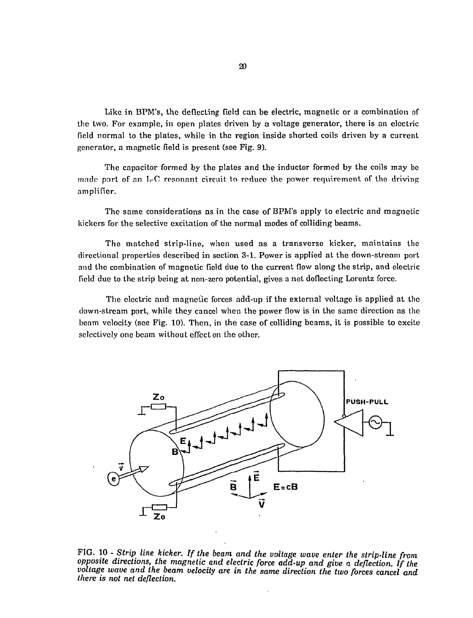Like in BPM's, the deflecting field can be electric, magnetic or a combination of the two. For example, in open plates driven by a voltage generator, there is an electric field normal to the plates, while in the region inside shorted coils driven by a current generator, a magnetic field is present (see Fig. 9).

The capacitor formed by the plates and the inductor formed by the coils may be made part of nn L-C resonant circuit to reduce the power requirement of the driving amplifier.

The same considerations as in the case of BPM's apply to electric and magnetic kickers for the selective excitation of the normal modes of colliding beams.

The matched strip-line, when used as a transverse kicker, maintains the directional properties described in section 3-1. Power is applied at the down-stream port and the combination of magnetic, field due to the current flow along the strip, and electric field due to the strip being at non-zero potential, gives a net deflecting Lorentz force.

The electric and magnetic forces add-up if the external voltage is applied at the down-stream port, while they cancel when the power flow is in the same direction as the beam velocity (see Fig. 10). Then, in the case of colliding beams, it is possible to excite selectively one beam without effect on the other.



FIG. 10 - *Strip line kicker. If the beam and the voltage wave enter the strip-line from opposite directions, the magnetic and electric force add-up and give a deflection. If the voltage wave and the beam velocity are in the same direction the two forces cancel and there is not net deflection.*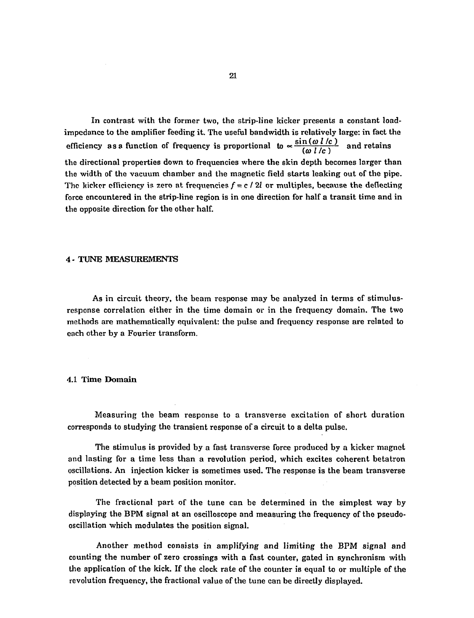In contrast with the former two, the strip-line kicker presents a constant loadimpedance to the amplifier feeding it. The useful bandwidth is relatively large: in fact the efficiency as a function of frequency is proportional to  $\propto \frac{\sin(\omega l/c)}{(\omega l/c)}$  and retains the directional properties down to frequencies where the skin depth becomes larger than the width of the vacuum chamber and the magnetic field starts leaking out of the pipe. The kicker efficiency is zero at frequencies  $f = c / 2l$  or multiples, because the deflecting force encountered in the strip-line region is in one direction for half a transit time and in the opposite direction for the other half.

## 4 - TUNE MEASUREMENTS

As in circuit theory, the beam response may be analyzed in terms of stimulusresponse correlation either in the time domain or in the frequency domain. The two methods are mathematically equivalent: the pulse and frequency response are related to each other by a Fourier transform.

#### 4.1 Time Domain

Measuring the beam response to a transverse excitation of short duration corresponds to studying the transient response of a circuit to a delta pulse.

The stimulus is provided by a fast transverse force produced by a kicker magnet and lasting for a time less than a revolution period, which excites coherent betatron oscillations. An injection kicker is sometimes used. The response is the beam transverse position detected by a beam position monitor.

The fractional part of the tune can be determined in the simplest way by displaying the BPM signal at an oscilloscope and measuring the frequency of the pseudooscillation which modulates the position signal.

Another method consists in amplifying and limiting the BPM signal and counting the number of zero crossings with a fast counter, gated in synchronism with the application of the kick. If the clock rate of the counter is equal to or multiple of the revolution frequency, the fractional value of the tune can be directly displayed.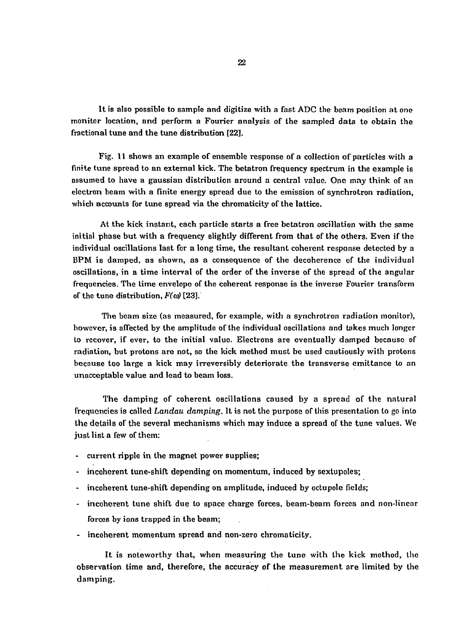It is also possible to sample and digitize with a fast ADC the beam position a t *one*  monitor location, and perform a Fourier analysis of the sampled data to obtain the fractional tune and the tune distribution [22].

Fig. 11 shows an example of ensemble response of a collection of particles with a finite tune spread to an external kick. The betatron frequency spectrum in the example is assumed to have a gaussian distribution around a central value. One may think of an electron beam with a finite energy spread due to the emission of synchrotron radiation, which accounts for tune spread via the chromaticity of the lattice.

At the kick instant, each particle starts a free betatron oscillation with the same initial phase but with a frequency slightly different from that of the others. Even if the individual oscillations last for a long time, the resultant coherent response detected by a BPM is damped, as shown, as a consequence of the decoherence of the individual oscillations, in a time interval of the order of the inverse of the spread of the angular frequencies. The time envelope of the coherent response is the inverse Fourier transform of the tune distribution,  $F(\omega)$  [23].

The beam size (as measured, for example, with a synchrotron radiation monitor), however, is affected by the amplitude of the individual oscillations and takes much longer to recover, if ever, to the initial value. Electrons are eventually damped because of radiation, but protons are not, so the kick method must be used cautiously with protons because too large a kick may irreversibly deteriorate the transverse emittance to an unacceptable value and lead to beam loss.

The damping of coherent oscillations caused by a spread of the natural frequencies is called *Landau damping.* It is not the purpose of this presentation to go into the details of the several mechanisms which may induce a spread of the tune values. We just list a few of them:

- current ripple in the magnet power supplies;
- incoherent tune-shift depending on momentum, induced by sextupoles;
- incoherent tune-shift depending on amplitude, induced by octupole fields;
- incoherent tune shift due to space charge forces, beam-beam forces and non-linear forces by ions trapped in the beam;
- incoherent momentum spread and non-zero chromaticity.

It is noteworthy that, when measuring the tune with the kick method, the observation time and, therefore, the accuracy of the measurement are limited by the damping.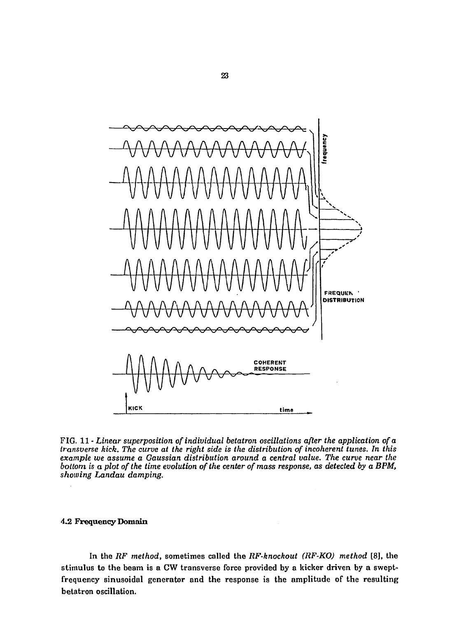

FIG. 11 - *Linear superposition of individual betatron oscillations after the application of a transverse kick. The curve at the right side is the distribution of incoherent tunes. In this example we assume a Gaussian distribution around a central value. The curve near the bottom is a plot of the time evolution of the center of mass response, as detected by a BPM, showing Landau damping.* 

## 4.2 Frequency Domain

In the *RF method,* sometimes called the *RF-knockout (RF-KO) method* [8], the stimulus to the beam is a CW transverse force provided by a kicker driven by a sweptfrequency sinusoidal generator and the response is the amplitude of the resulting betatron oscillation.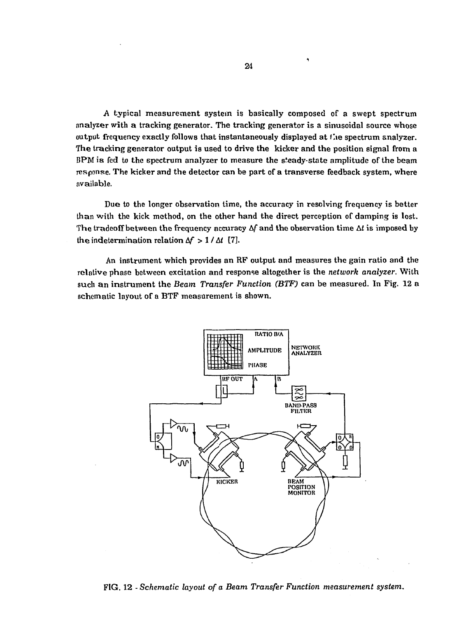*A* typical measurement system is basically composed of a swept spectrum analyzer with a tracking generator. The tracking generator is a sinusoidal source whose output frequency exactly follows that instantaneously displayed at  $t$  the spectrum analyzer. The tracking generator output is used to drive the kicker and the position signal from a BPM is fed to the spectrum analyzer to measure the steady-state amplitude of the beam response. The kicker and the detector can be part of a transverse feedback system, where available.

Due to the longer observation time, the accuracy in resolving frequency is better than with the kick method, on the other hand the direct perception of damping is lost. The tradeoff between the frequency accuracy *Af* and the observation time *At* is imposed by the indetermination relation  $\Delta f > 1 / \Delta t$  [7].

An instrument which provides an RF output and measures the gain ratio and the relative phase between excitation and response altogether is the *network analyzer.* With such an instrument the *Beam Transfer Function (BTF)* can be measured. In Fig. 12 a schematic layout of a BTF measurement is shown.



FIG. 12 - *Schematic layout of a Beam Transfer Function measurement system.* 

**i**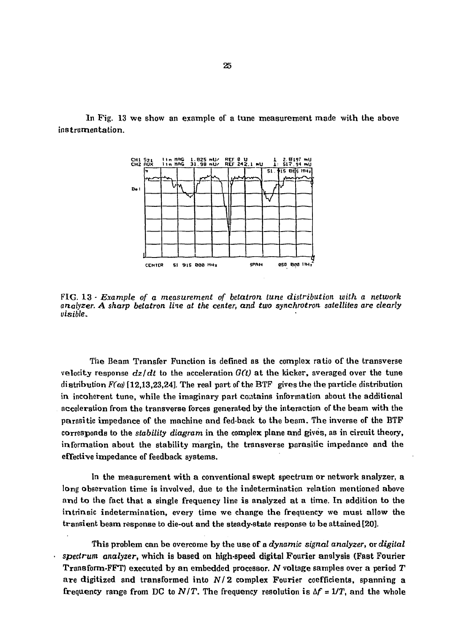In Pig. 13 we show an example of a tune measurement made with the above instrumentation.



FIG. 13 - *Example of a measurement of betatron tune distribution with a network analyzer. A sharp betatron line at the center, and two synchrotron satellites are clearly visible.* 

The Beam Transfer Function is defined as the complex ratio of the transverse velocity response  $dz/dt$  to the acceleration  $G(t)$  at the kicker, averaged over the tune distribution *F(co)* [12,13,23,24]. The real part of the BTF gives the the particle distribution in incoherent tune, while the imaginary part contains information about the additional acceleration from the transverse forces generated by the interaction of the beam with the parasitic impedance of the machine and fed-back to the beam. The inverse of the BTF corresponds to the *stability diagram* in the complex plane and gives, as in circuit theory, information about the stability margin, the transverse parasitic impedance and the effective impedance of feedback systems.

In the measurement with a conventional swept spectrum or network analyzer, a long observation time is involved, due to the indetermination relation mentioned above and to the fact that a single frequency line is analyzed at a time. In addition to the intrinsic indetermination, every time we change the frequency we must allow the transient beam response to die-out and the steady-state response to be attained [20].

This problem can be overcome by the use of a *dynamic signal analyzer,* or *digital spectrum analyzer,* which is based on high-speed digital Fourier analysis (Fast Fourier Transform-FFT) executed by an embedded processor. *N* voltage samples over a period *T*  are digitized and transformed into *Nf2* complex Fourier coefficients, spanning a frequency range from DC to  $N/T$ . The frequency resolution is  $\Delta f = 1/T$ , and the whole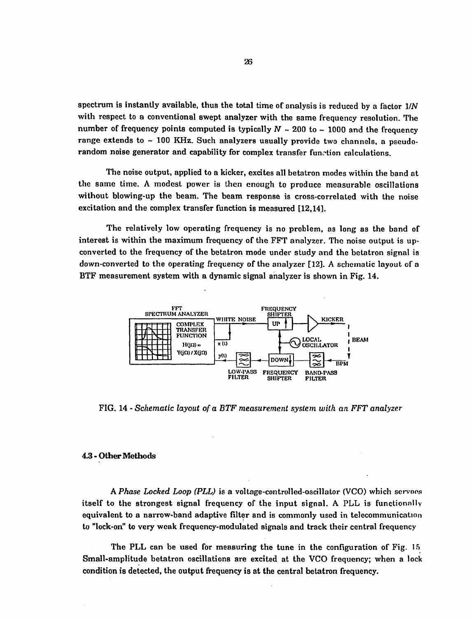spectrum is instantly available, thus the total time of analysis is reduced by a factor 1/N with respect to a conventional swept analyzer with the same frequency resolution. The number of frequency points computed is typically  $N \sim 200$  to  $\sim 1000$  and the frequency range extends to  $\sim$  100 KHz. Such analyzers usually provide two channels, a pseudorandom noise generator and capability for complex transfer function calculations.

The noise output, applied to a kicker, excites all betatron modes within the band at the same time. A modest power is then enough to produce measurable oscillations without blowing-up the beam. The beam response is cross-correlated with the noise excitation and the complex transfer function is measured [12,14].

The relatively low operating frequency is no problem, as long as the band of interest is within the maximum frequency of the FFT analyzer. The noise output is upconverted to the frequency of the betatron mode under study and the betatron signal is down-converted to the operating frequency of the analyzer [12]. A schematic layout of a BTF measurement system with a dynamic signal analyzer is shown in Fig. 14.



FIG. 14 - *Schematic layout of a BTF measurement system with an FFT analyzer* 

#### 4.3-Other Methods

A *Phase Locked Loop (PLL)* is a voltage-controlled-oscillator (VCO) which servoos itself to the strongest signal frequency of the input signal. A PLL is functionally equivalent to a narrow-band adaptive filter and is commonly used in telecommunication to "lock-on" to very weak frequency-modulated signals and track their central frequency

The PLL can be used for measuring the tune in the configuration of Fig. 15 Small-amplitude betatron oscillations are excited at the VCO frequency; when a lock condition is detected, the output frequency is at the central betatron frequency.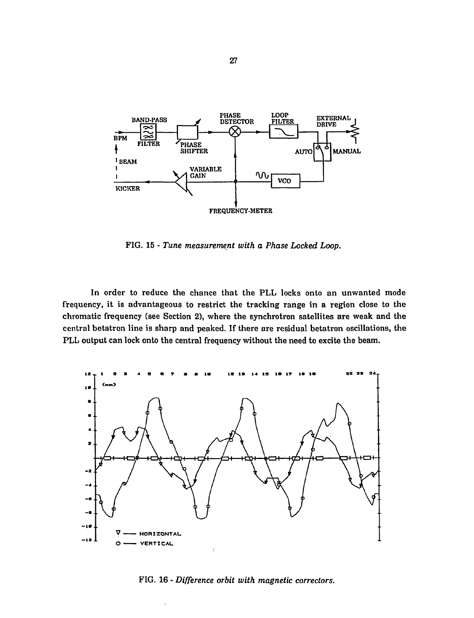

FIG. 15 - *Tune measurement with a Phase Locked Loop.* 

In order to reduce the chance that the PLL locks onto an unwanted mode frequency, it is advantageous to restrict the tracking range in a region close to the chromatic frequency (see Section 2), where the synchrotron satellites are weak and the central betatron line is sharp and peaked. If there are residual betatron oscillations, the PLL output can lock onto the central frequency without the need to excite the beam.



FIG. 16 - *Difference orbit with magnetic correctors.* 

 $\ddot{\phantom{a}}$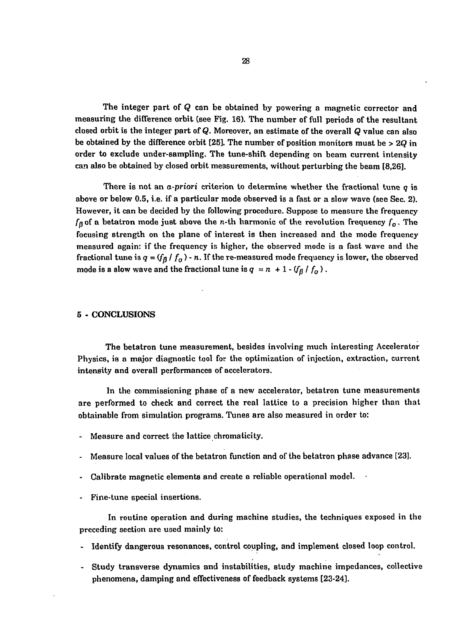The integer part of *Q* can be obtained by powering a magnetic corrector and measuring the difference orbit (see Fig. 16). The number of full periods of the resultant closed orbit is the integer part of Q. Moreover, an estimate of the overall *Q* value can also be obtained by the difference orbit [25]. The number of position monitors must be > *2Q* in order to exclude under-sampling. The tune-shift depending on beam current intensity can also be obtained by closed orbit measurements, without perturbing the beam [8,26].

There is not an *a-priori* criterion to determine whether the fractional tune *q* is above or below 0.5, i.e. if a particular mode observed is a fast or a slow wave (see Sec. 2). However, it can be decided by the following procedure. Suppose to measure the frequency *fa* of a betatron mode just above the n-th harmonic of the revolution frequency *f0*. The focusing strength on the plane of interest is then increased and the mode frequency measured again: if the frequency is higher, the observed mode is a fast wave and the fractional tune is  $q = (f_0 / f_0)$  - n. If the re-measured mode frequency is lower, the observed mode is a slow wave and the fractional tune is  $q = n + 1 - (f_\beta / f_o)$ .

## 5 - CONCLUSIONS

The betatron tune measurement, besides involving much interesting Accelerator Physics, is a major diagnostic tool for the optimization of injection, extraction, current intensity and overall performances of accelerators.

In the commissioning phase of a new accelerator, betatron tune measurements are performed to check and correct the real lattice to a precision higher than that obtainable from simulation programs. Tunes are also measured in order to:

- Measure and correct the lattice chromaticity.
- Measure local values of the betatron function and of the betatron phase advance [23].
- Calibrate magnetic elements and create a reliable operational model.
- Fine-tune special insertions.

In routine operation and during machine studies, the techniques exposed in the preceding section are used mainly to:

- Identify dangerous resonances, control coupling, and implement closed loop control.
- Study transverse dynamics and instabilities, study machine impedances, collective phenomena, damping and effectiveness of feedback systems [23-24].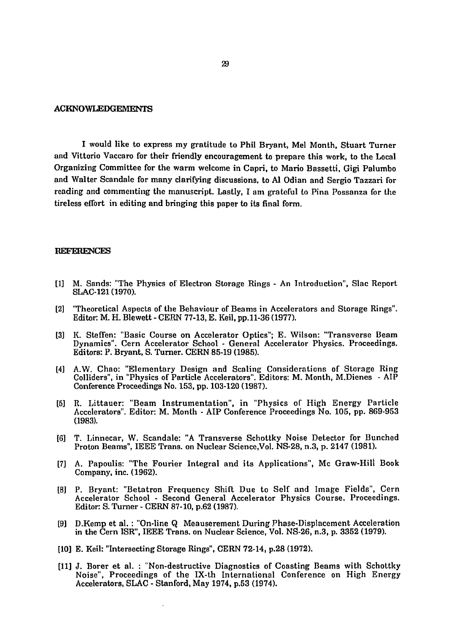#### ACKNOWLEDGEMENTS

I would like to express my gratitude to Phil Bryant, Mel Month, Stuart Turner and Vittorio Vaccaro for their friendly encouragement to prepare this work, to the Local Organizing Committee for the warm welcome in Capri, to Mario Bassetti, Gigi Palumbo and Walter Scandale for many clarifying discussions, to Al Odian and Sergio Tazzari for reading and commenting the manuscript. Lastly, I am grateful to Pina Possanza for the tireless effort in editing and bringing this paper to its final form.

#### REFERENCES

- [1] M. Sands: "The Physics of Electron Storage Rings An Introduction", Slac Report SLAC-121 (1970).
- [2] "Theoretical Aspects of the Behaviour of Beams in Accelerators and Storage Rings". Editor: M. H. Blewett - CERN 77-13, E. Keil, pp.11-36 (1977).
- [3] K. Steffen: "Basic Course on Accelerator Optics"; E. Wilson: "Transverse Beam Dynamics". Cern Accelerator School - General Accelerator Physics. Proceedings. Editors: P. Bryant, S. Turner. CERN 85-19 (1985).
- [4] A.W. Chao: "Elementary Design and Scaling Considerations of Storage Ring Colliders", in "Physics of Particle Accelerators". Editors: M. Month, M.Dienes - AIP Conference Proceedings No. 153, pp. 103-120 (1987).
- [5] R. Littauer: "Beam Instrumentation", in "Physics of High Energy Particle Accelerators". Editor: M. Month - AIP Conference Proceedings No. 105, pp. 869-953 (1983).
- [6] T. Linnecar, W. Scandale: "A Transverse Schottky Noise Detector for Bunched Proton Beams", IEEE Trans, on Nuclear Science.Vol. NS-28, n.3, p. 2147 (1981).
- [7] A. Papoulis: "The Fourier Integral and its Applications", Mc Graw-Hill Book Company, inc. (1962).
- [8] P. Bryant: "Betatron Frequency Shift Due to Self and Image Fields", Cern Accelerator School - Second General Accelerator Physics Course. Proceedings. Editor: S. Turner - CERN 87-10, p.62 (1987).
- [9] D.Kemp et al. : "On-line Q Meauserement During Phase-Displacement Acceleration in the Cern ISR", IEEE Trans, on Nuclear Science, Vol. Ng-26, n.3, p. 3352 (1979).
- [10] E. Keil: "Intersecting Storage Rings", CERN 72-14, p.28 (1972).
- [11] J. Borer et al. : "Non-destructive Diagnostics of Coasting Beams with Schottky Noise", Proceedings of the IX-th International Conference on High Energy Accelerators, SLAC - Stanford, May 1974, p.53 (1974).